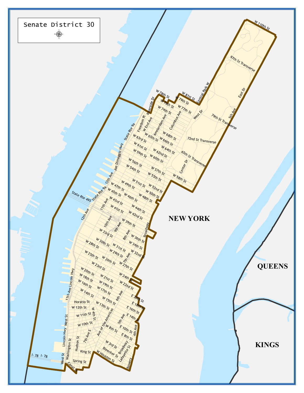